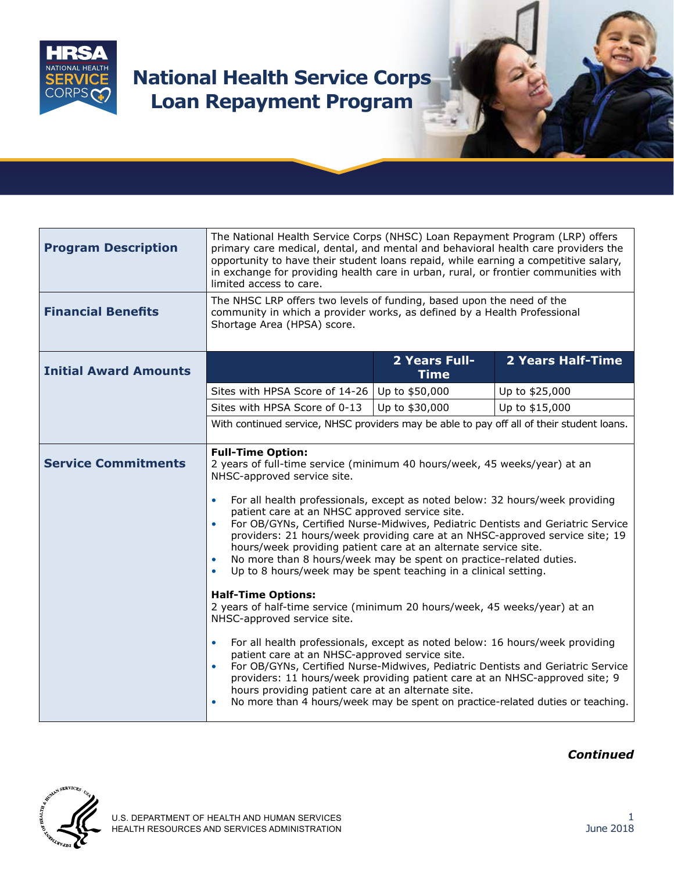

## **National Health Service Corps Loan Repayment Program**

| <b>Program Description</b>   | The National Health Service Corps (NHSC) Loan Repayment Program (LRP) offers<br>primary care medical, dental, and mental and behavioral health care providers the<br>opportunity to have their student loans repaid, while earning a competitive salary,<br>in exchange for providing health care in urban, rural, or frontier communities with<br>limited access to care.                                                                                                                                                                                                                                                                                                                                                                                                                                                                                                                                                                                                                                                                                              |                              |                          |
|------------------------------|-------------------------------------------------------------------------------------------------------------------------------------------------------------------------------------------------------------------------------------------------------------------------------------------------------------------------------------------------------------------------------------------------------------------------------------------------------------------------------------------------------------------------------------------------------------------------------------------------------------------------------------------------------------------------------------------------------------------------------------------------------------------------------------------------------------------------------------------------------------------------------------------------------------------------------------------------------------------------------------------------------------------------------------------------------------------------|------------------------------|--------------------------|
| <b>Financial Benefits</b>    | The NHSC LRP offers two levels of funding, based upon the need of the<br>community in which a provider works, as defined by a Health Professional<br>Shortage Area (HPSA) score.                                                                                                                                                                                                                                                                                                                                                                                                                                                                                                                                                                                                                                                                                                                                                                                                                                                                                        |                              |                          |
| <b>Initial Award Amounts</b> |                                                                                                                                                                                                                                                                                                                                                                                                                                                                                                                                                                                                                                                                                                                                                                                                                                                                                                                                                                                                                                                                         | 2 Years Full-<br><b>Time</b> | <b>2 Years Half-Time</b> |
|                              | Sites with HPSA Score of 14-26 Up to \$50,000                                                                                                                                                                                                                                                                                                                                                                                                                                                                                                                                                                                                                                                                                                                                                                                                                                                                                                                                                                                                                           |                              | Up to \$25,000           |
|                              | Sites with HPSA Score of 0-13                                                                                                                                                                                                                                                                                                                                                                                                                                                                                                                                                                                                                                                                                                                                                                                                                                                                                                                                                                                                                                           | Up to \$30,000               | Up to \$15,000           |
|                              | With continued service, NHSC providers may be able to pay off all of their student loans.                                                                                                                                                                                                                                                                                                                                                                                                                                                                                                                                                                                                                                                                                                                                                                                                                                                                                                                                                                               |                              |                          |
| <b>Service Commitments</b>   | <b>Full-Time Option:</b><br>2 years of full-time service (minimum 40 hours/week, 45 weeks/year) at an<br>NHSC-approved service site.<br>For all health professionals, except as noted below: 32 hours/week providing<br>$\bullet$<br>patient care at an NHSC approved service site.<br>For OB/GYNs, Certified Nurse-Midwives, Pediatric Dentists and Geriatric Service<br>$\bullet$<br>providers: 21 hours/week providing care at an NHSC-approved service site; 19<br>hours/week providing patient care at an alternate service site.<br>No more than 8 hours/week may be spent on practice-related duties.<br>Up to 8 hours/week may be spent teaching in a clinical setting.<br>$\bullet$<br><b>Half-Time Options:</b><br>2 years of half-time service (minimum 20 hours/week, 45 weeks/year) at an<br>NHSC-approved service site.<br>For all health professionals, except as noted below: 16 hours/week providing<br>$\bullet$<br>patient care at an NHSC-approved service site.<br>For OB/GYNs, Certified Nurse-Midwives, Pediatric Dentists and Geriatric Service |                              |                          |
|                              | providers: 11 hours/week providing patient care at an NHSC-approved site; 9<br>hours providing patient care at an alternate site.<br>No more than 4 hours/week may be spent on practice-related duties or teaching.                                                                                                                                                                                                                                                                                                                                                                                                                                                                                                                                                                                                                                                                                                                                                                                                                                                     |                              |                          |



*Continued*